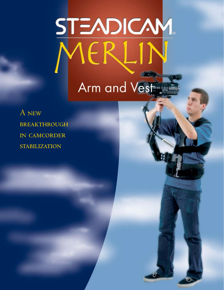# STEADICAM IERI Arm and Vest

A new **BREAKTHROUGH** IN CAMCORDER **STABILIZATION**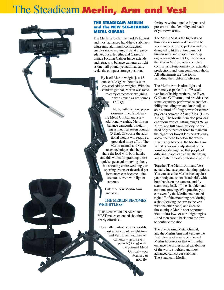## The Steadicam **Merlin, Arm and Vest**

#### **THE STEADICAM MERLIN and the NEW SIX-BEARING METAL GIMBAL**

The Merlin is by far the world's lightest and most advanced hand-held stabilizer. Ultra-rigid aluminum construction enables stable moving shots at unprecedented focal lengths, and Garrett's unique Folding-Caliper hinge extends and retracts to balance cameras as light as one-half pound, yet automatically seeks the compact storage position.

> By itself Merlin weighs just 13 ounces (.36kg) without its stainless steel add-on weights. With the standard gimbal, Merlin was rated to carry camcorders weighing only as much as six pounds (2.7 kg)

Now, with the new, precision-machined Six-Bearing Metal Gimbal and a few additional weights, Merlin can balance camcorders weighing as much as seven pounds (3.2kg). Of course the additional weight will require a great deal more effort. The Merlin manual and video teach techniques that help share the load with both hands, and this works for grabbing those quick, spectacular moving shots, but shooting entire weddings, or sporting events or theatrical performances can become quite strenuous, even with lighter cameras.

Enter the new Merlin Arm and Vest!

#### **THE MERLIN BECOMES WEIGHTLESS!**

THE New MERLIN ARM and VEST makes extended shooting nearly effortless.

Now Tiffen introduces the worlds most advanced ultra-light Arm and Vest. Even with heavy cameras – up to seven pounds (3.2kg) with the optional Metal Gimbal – your Merlin can now fly

for hours without undue fatigue, and preserve all the flexibility and reach of your own arms.

The Merlin Vest is the lightest and thinnest ever made – it can even be worn under a tuxedo jacket – and it's designed to fit the entire gamut of human sizes and shapes. For 23kg eight-year-olds or 150kg linebackers, the Merlin Vest provides complete comfort and functionality for extended productions and long continuous shots. All adjustments are 'no-tools, including the right-arm/left-arm.

The Merlin Arm is ultra-light and extremely capable. It's a 7/8 scale version of its big brothers, the Flyer, G-50 and G-70 arms, and provides the same legendary performance and flexibility including instant, knob-adjustable control of lifting power for camera payloads between 2.5 and 7 lbs. (1.1 to 3.2 kg) The Merlin Arm also provides enormous vertical lifting range (28" or 71cm) and full 'iso-elasticity' so you'll need only ounces of force to maintain the highest or lowest lens heights (way above the head to below the waist) Like its big brothers, the Merlin Arm includes two-axis adjustment of the arm-to-body angle so that people of differing shapes can adjust the lifting angle to their most comfortable posture.

Together The Merlin Arm and Vest actually increase your shooting options. You can ease the Merlin back against your body and shoot 'handheld', with both hands on the camera, and fly seamlessly back off the shoulder and continue moving. With practice you can even fly the Merlin one-handed right off of the mounting post during a shot (docking the arm to the vest with the other hand) and execute those unique Merlin shot opportunities – ultra-low- or ultra-high-angles – and then ease it back onto the arm to continue the shot.

The Six-Bearing Metal Gimbal, and the Merlin Arm and Vest are the first releases of a suite of planned Merlin Accessories that will further enhance the professional capabilities of the world's lightest and most advanced camcorder stabilizer: The Steadicam Merlin.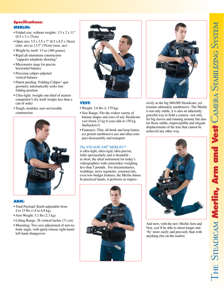#### **Specifications: MERLIN:**

- Folded size, without weights: 3.5 x 2 x 11" (8.5 x 5 x 27cm)
- Open size:  $3.5 \times 3.5 \times 7$ " (8.5 x 8.5 x 18cm) (min. arc) to 13.5" (35cm) (max. arc)
- Weight by itself: 13 oz (360 grams).
- Rigid all-aluminum construction "supports telephoto shooting"
- Micrometer stage for precise horizontal balance
- Precision caliper-adjusted vertical balance
- Patent pending 'Folding-Caliper' spar geometry automatically seeks true folding position
- Ultra-light: (weighs one third of nearest competitor!) (by itself weighs less than a can of soda)
- Tough, modular, user-serviceable construction



#### **ARM:**

- Total Payload: Knob-adjustable from 4 to 15 lbs (1.8 to 6.8 kg).
- Arm Weight: 5.1 lbs (2.3 kg)
- Lifting Range: 28 vertical inches (71 cm)
- Mounting: Two axis adjustment of arm-tobody angle, with quick-release right-hand/ left-hand changeover



#### **VEST:**

- Weight: 2.6 lbs (1.179 kg)
- Size Range: Fits the widest variety of human shapes and sizes of any Steadicam vest (from 23 kg 8-year-olds to 150 kg linebackers!)
- Fasteners: Thin, all-hook and loop fasteners permit unobtrusive use and ultra-compact disassembly and transport.

#### The STEADICAM<sup>®</sup> MERLIN™

is ultra-light, ultra-rigid, ultra precise, folds spectacularly and is beautiful – in short, the ideal instrument for today's videographers with camcorders weighing less than 5 pounds. For documentaries, weddings, news segments, commercials, even low-budget features, the Merlin shines. In practiced hands, it performs as impres-





sively as the big \$60,000 Steadicam, yet remains ultimately unobtrusive. The Merlin is not only stable, it is also an inherently graceful way to hold a camera –not only for big moves and running around, but also for those subtle, imperceptible and elegant displacements of the lens that cannot be achieved any other way.



And now, with the new Merlin Arm and Vest, you'll be able to shoot longer and 'fly' more easily and precisely than with anything else on the market.